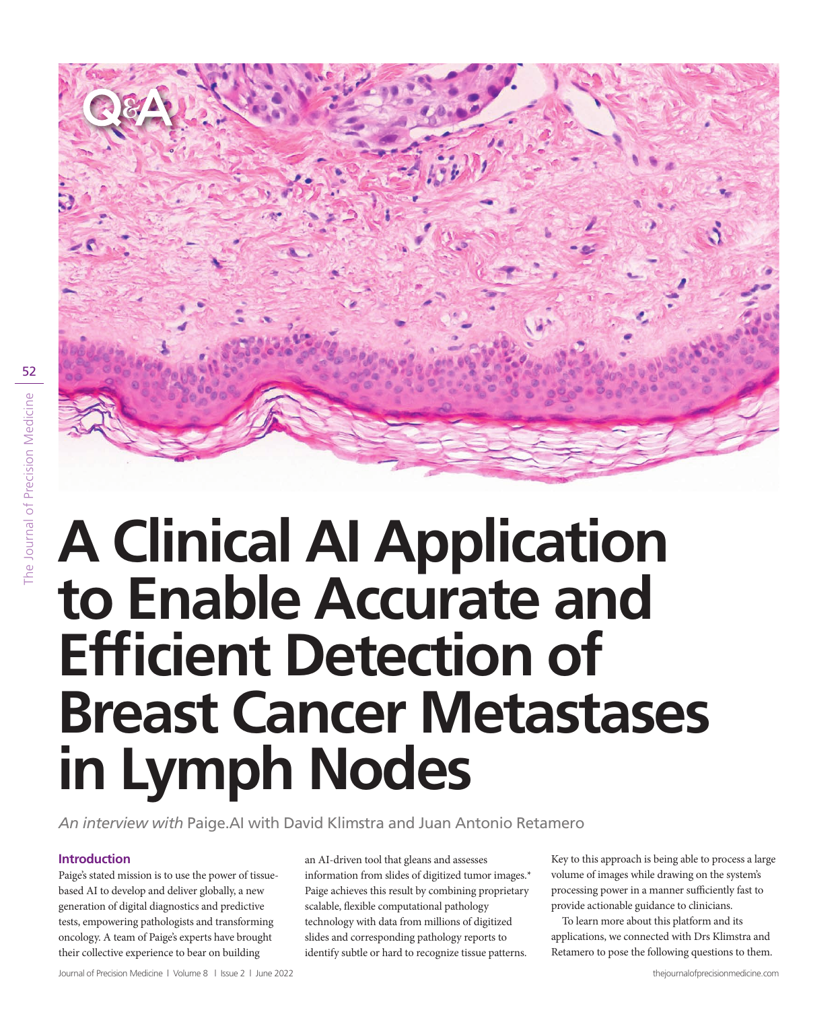

# **A Clinical AI Application to Enable Accurate and Efficient Detection of Breast Cancer Metastases in Lymph Nodes**

*An interview with* Paige.AI with David Klimstra and Juan Antonio Retamero

## **Introduction**

Paige's stated mission is to use the power of tissuebased AI to develop and deliver globally, a new generation of digital diagnostics and predictive tests, empowering pathologists and transforming oncology. A team of Paige's experts have brought their collective experience to bear on building

an AI-driven tool that gleans and assesses information from slides of digitized tumor images.\* Paige achieves this result by combining proprietary scalable, flexible computational pathology technology with data from millions of digitized slides and corresponding pathology reports to identify subtle or hard to recognize tissue patterns.

Key to this approach is being able to process a large volume of images while drawing on the system's processing power in a manner sufficiently fast to provide actionable guidance to clinicians.

To learn more about this platform and its applications, we connected with Drs Klimstra and Retamero to pose the following questions to them.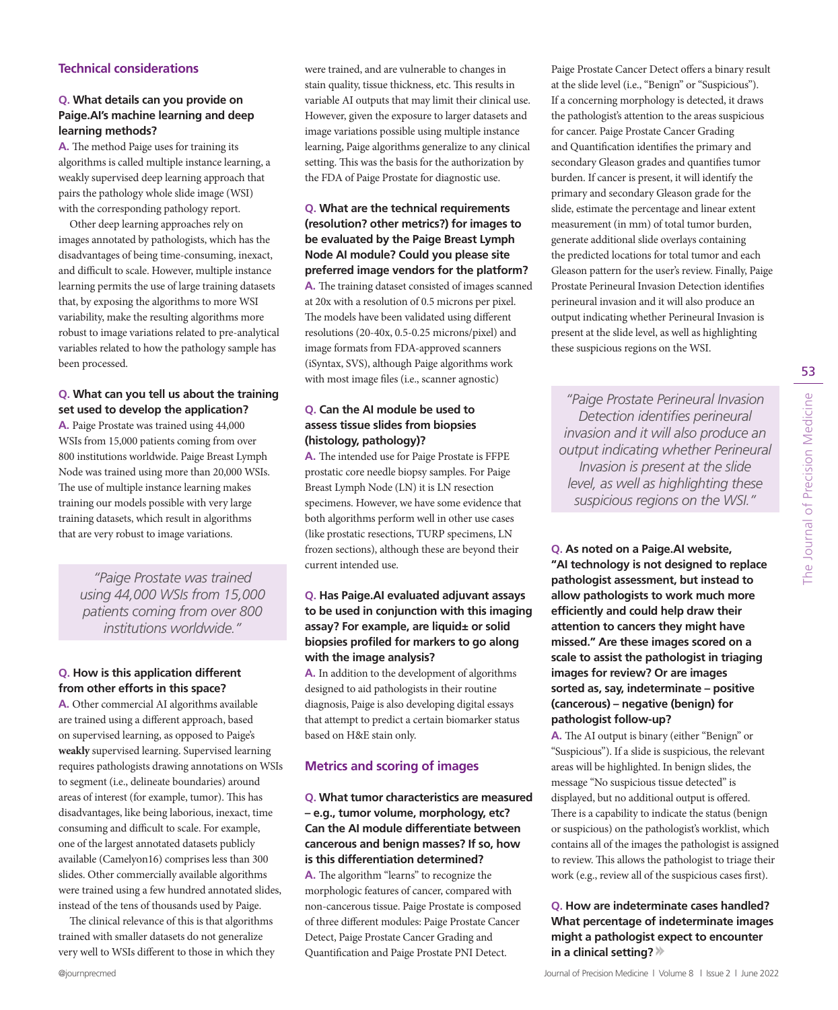#### **Technical considerations**

#### **Q. What details can you provide on Paige.AI's machine learning and deep learning methods?**

**A.** The method Paige uses for training its algorithms is called multiple instance learning, a weakly supervised deep learning approach that pairs the pathology whole slide image (WSI) with the corresponding pathology report.

Other deep learning approaches rely on images annotated by pathologists, which has the disadvantages of being time-consuming, inexact, and difficult to scale. However, multiple instance learning permits the use of large training datasets that, by exposing the algorithms to more WSI variability, make the resulting algorithms more robust to image variations related to pre-analytical variables related to how the pathology sample has been processed.

#### **Q. What can you tell us about the training set used to develop the application?**

**A.** Paige Prostate was trained using 44,000 WSIs from 15,000 patients coming from over 800 institutions worldwide. Paige Breast Lymph Node was trained using more than 20,000 WSIs. The use of multiple instance learning makes training our models possible with very large training datasets, which result in algorithms that are very robust to image variations.

*"Paige Prostate was trained using 44,000 WSIs from 15,000 patients coming from over 800 institutions worldwide."*

#### **Q. How is this application different from other efforts in this space?**

**A.** Other commercial AI algorithms available are trained using a different approach, based on supervised learning, as opposed to Paige's **weakly** supervised learning. Supervised learning requires pathologists drawing annotations on WSIs to segment (i.e., delineate boundaries) around areas of interest (for example, tumor). This has disadvantages, like being laborious, inexact, time consuming and difficult to scale. For example, one of the largest annotated datasets publicly available (Camelyon16) comprises less than 300 slides. Other commercially available algorithms were trained using a few hundred annotated slides, instead of the tens of thousands used by Paige.

The clinical relevance of this is that algorithms trained with smaller datasets do not generalize very well to WSIs different to those in which they were trained, and are vulnerable to changes in stain quality, tissue thickness, etc. This results in variable AI outputs that may limit their clinical use. However, given the exposure to larger datasets and image variations possible using multiple instance learning, Paige algorithms generalize to any clinical setting. This was the basis for the authorization by the FDA of Paige Prostate for diagnostic use.

**Q. What are the technical requirements (resolution? other metrics?) for images to be evaluated by the Paige Breast Lymph Node AI module? Could you please site preferred image vendors for the platform? A.** The training dataset consisted of images scanned at 20x with a resolution of 0.5 microns per pixel. The models have been validated using different resolutions (20-40x, 0.5-0.25 microns/pixel) and image formats from FDA-approved scanners (iSyntax, SVS), although Paige algorithms work with most image files (i.e., scanner agnostic)

#### **Q. Can the AI module be used to assess tissue slides from biopsies (histology, pathology)?**

**A.** The intended use for Paige Prostate is FFPE prostatic core needle biopsy samples. For Paige Breast Lymph Node (LN) it is LN resection specimens. However, we have some evidence that both algorithms perform well in other use cases (like prostatic resections, TURP specimens, LN frozen sections), although these are beyond their current intended use.

#### **Q. Has Paige.AI evaluated adjuvant assays to be used in conjunction with this imaging assay? For example, are liquid± or solid biopsies profiled for markers to go along with the image analysis?**

**A.** In addition to the development of algorithms designed to aid pathologists in their routine diagnosis, Paige is also developing digital essays that attempt to predict a certain biomarker status based on H&E stain only.

## **Metrics and scoring of images**

**Q. What tumor characteristics are measured – e.g., tumor volume, morphology, etc? Can the AI module differentiate between cancerous and benign masses? If so, how is this differentiation determined?**

**A.** The algorithm "learns" to recognize the morphologic features of cancer, compared with non-cancerous tissue. Paige Prostate is composed of three different modules: Paige Prostate Cancer Detect, Paige Prostate Cancer Grading and Quantification and Paige Prostate PNI Detect.

Paige Prostate Cancer Detect offers a binary result at the slide level (i.e., "Benign" or "Suspicious"). If a concerning morphology is detected, it draws the pathologist's attention to the areas suspicious for cancer. Paige Prostate Cancer Grading and Quantification identifies the primary and secondary Gleason grades and quantifies tumor burden. If cancer is present, it will identify the primary and secondary Gleason grade for the slide, estimate the percentage and linear extent measurement (in mm) of total tumor burden, generate additional slide overlays containing the predicted locations for total tumor and each Gleason pattern for the user's review. Finally, Paige Prostate Perineural Invasion Detection identifies perineural invasion and it will also produce an output indicating whether Perineural Invasion is present at the slide level, as well as highlighting these suspicious regions on the WSI.

*"Paige Prostate Perineural Invasion Detection identifies perineural invasion and it will also produce an output indicating whether Perineural Invasion is present at the slide level, as well as highlighting these suspicious regions on the WSI."*

53

**Q. As noted on a Paige.AI website, "AI technology is not designed to replace pathologist assessment, but instead to allow pathologists to work much more efficiently and could help draw their attention to cancers they might have missed." Are these images scored on a scale to assist the pathologist in triaging images for review? Or are images sorted as, say, indeterminate – positive (cancerous) – negative (benign) for pathologist follow-up?**

**A.** The AI output is binary (either "Benign" or "Suspicious"). If a slide is suspicious, the relevant areas will be highlighted. In benign slides, the message "No suspicious tissue detected" is displayed, but no additional output is offered. There is a capability to indicate the status (benign or suspicious) on the pathologist's worklist, which contains all of the images the pathologist is assigned to review. This allows the pathologist to triage their work (e.g., review all of the suspicious cases first).

#### **Q. How are indeterminate cases handled? What percentage of indeterminate images might a pathologist expect to encounter in a clinical setting?**